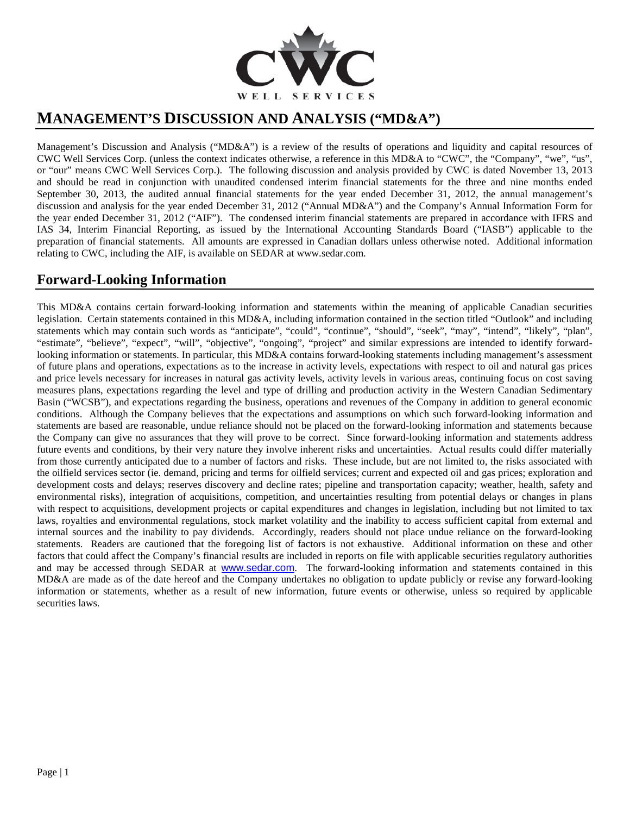

# **MANAGEMENT'S DISCUSSION AND ANALYSIS ("MD&A")**

Management's Discussion and Analysis ("MD&A") is a review of the results of operations and liquidity and capital resources of CWC Well Services Corp. (unless the context indicates otherwise, a reference in this MD&A to "CWC", the "Company", "we", "us", or "our" means CWC Well Services Corp.). The following discussion and analysis provided by CWC is dated November 13, 2013 and should be read in conjunction with unaudited condensed interim financial statements for the three and nine months ended September 30, 2013, the audited annual financial statements for the year ended December 31, 2012, the annual management's discussion and analysis for the year ended December 31, 2012 ("Annual MD&A") and the Company's Annual Information Form for the year ended December 31, 2012 ("AIF"). The condensed interim financial statements are prepared in accordance with IFRS and IAS 34, Interim Financial Reporting, as issued by the International Accounting Standards Board ("IASB") applicable to the preparation of financial statements. All amounts are expressed in Canadian dollars unless otherwise noted. Additional information relating to CWC, including the AIF, is available on SEDAR at www.sedar.com.

# **Forward-Looking Information**

This MD&A contains certain forward-looking information and statements within the meaning of applicable Canadian securities legislation. Certain statements contained in this MD&A, including information contained in the section titled "Outlook" and including statements which may contain such words as "anticipate", "could", "continue", "should", "seek", "may", "intend", "likely", "plan", "estimate", "believe", "expect", "will", "objective", "ongoing", "project" and similar expressions are intended to identify forwardlooking information or statements. In particular, this MD&A contains forward-looking statements including management's assessment of future plans and operations, expectations as to the increase in activity levels, expectations with respect to oil and natural gas prices and price levels necessary for increases in natural gas activity levels, activity levels in various areas, continuing focus on cost saving measures plans, expectations regarding the level and type of drilling and production activity in the Western Canadian Sedimentary Basin ("WCSB"), and expectations regarding the business, operations and revenues of the Company in addition to general economic conditions. Although the Company believes that the expectations and assumptions on which such forward-looking information and statements are based are reasonable, undue reliance should not be placed on the forward-looking information and statements because the Company can give no assurances that they will prove to be correct. Since forward-looking information and statements address future events and conditions, by their very nature they involve inherent risks and uncertainties. Actual results could differ materially from those currently anticipated due to a number of factors and risks. These include, but are not limited to, the risks associated with the oilfield services sector (ie. demand, pricing and terms for oilfield services; current and expected oil and gas prices; exploration and development costs and delays; reserves discovery and decline rates; pipeline and transportation capacity; weather, health, safety and environmental risks), integration of acquisitions, competition, and uncertainties resulting from potential delays or changes in plans with respect to acquisitions, development projects or capital expenditures and changes in legislation, including but not limited to tax laws, royalties and environmental regulations, stock market volatility and the inability to access sufficient capital from external and internal sources and the inability to pay dividends. Accordingly, readers should not place undue reliance on the forward-looking statements. Readers are cautioned that the foregoing list of factors is not exhaustive. Additional information on these and other factors that could affect the Company's financial results are included in reports on file with applicable securities regulatory authorities and may be accessed through SEDAR at [www.sedar.com](http://www.sedar.com/). The forward-looking information and statements contained in this MD&A are made as of the date hereof and the Company undertakes no obligation to update publicly or revise any forward-looking information or statements, whether as a result of new information, future events or otherwise, unless so required by applicable securities laws.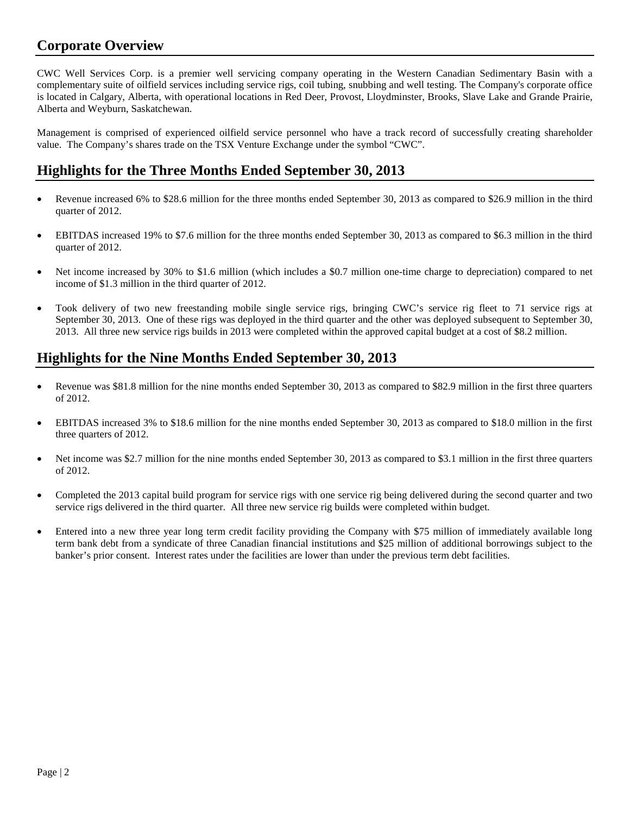### **Corporate Overview**

CWC Well Services Corp. is a premier well servicing company operating in the Western Canadian Sedimentary Basin with a complementary suite of oilfield services including service rigs, coil tubing, snubbing and well testing. The Company's corporate office is located in Calgary, Alberta, with operational locations in Red Deer, Provost, Lloydminster, Brooks, Slave Lake and Grande Prairie, Alberta and Weyburn, Saskatchewan.

Management is comprised of experienced oilfield service personnel who have a track record of successfully creating shareholder value. The Company's shares trade on the TSX Venture Exchange under the symbol "CWC".

### **Highlights for the Three Months Ended September 30, 2013**

- Revenue increased 6% to \$28.6 million for the three months ended September 30, 2013 as compared to \$26.9 million in the third quarter of 2012.
- EBITDAS increased 19% to \$7.6 million for the three months ended September 30, 2013 as compared to \$6.3 million in the third quarter of 2012.
- Net income increased by 30% to \$1.6 million (which includes a \$0.7 million one-time charge to depreciation) compared to net income of \$1.3 million in the third quarter of 2012.
- Took delivery of two new freestanding mobile single service rigs, bringing CWC's service rig fleet to 71 service rigs at September 30, 2013. One of these rigs was deployed in the third quarter and the other was deployed subsequent to September 30, 2013. All three new service rigs builds in 2013 were completed within the approved capital budget at a cost of \$8.2 million.

# **Highlights for the Nine Months Ended September 30, 2013**

- Revenue was \$81.8 million for the nine months ended September 30, 2013 as compared to \$82.9 million in the first three quarters of 2012.
- EBITDAS increased 3% to \$18.6 million for the nine months ended September 30, 2013 as compared to \$18.0 million in the first three quarters of 2012.
- Net income was \$2.7 million for the nine months ended September 30, 2013 as compared to \$3.1 million in the first three quarters of 2012.
- Completed the 2013 capital build program for service rigs with one service rig being delivered during the second quarter and two service rigs delivered in the third quarter. All three new service rig builds were completed within budget.
- Entered into a new three year long term credit facility providing the Company with \$75 million of immediately available long term bank debt from a syndicate of three Canadian financial institutions and \$25 million of additional borrowings subject to the banker's prior consent. Interest rates under the facilities are lower than under the previous term debt facilities.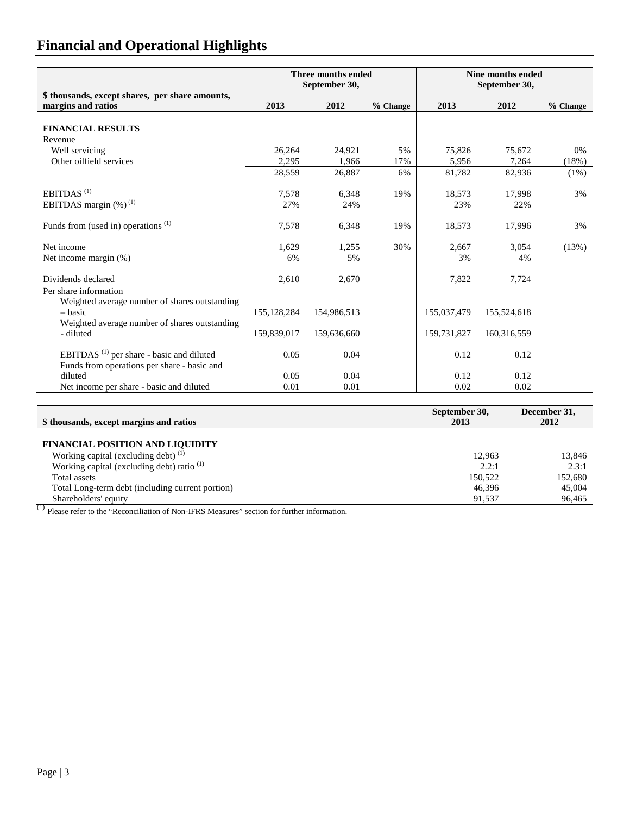| \$ thousands, except shares, per share amounts,                                                           |               | Three months ended<br>September 30, |          | Nine months ended<br>September 30, |             |            |  |
|-----------------------------------------------------------------------------------------------------------|---------------|-------------------------------------|----------|------------------------------------|-------------|------------|--|
| margins and ratios                                                                                        | 2013          | 2012                                | % Change | 2013                               | 2012        | $%$ Change |  |
| <b>FINANCIAL RESULTS</b>                                                                                  |               |                                     |          |                                    |             |            |  |
| Revenue                                                                                                   |               |                                     |          |                                    |             |            |  |
| Well servicing                                                                                            | 26,264        | 24.921                              | 5%       | 75,826                             | 75.672      | $0\%$      |  |
| Other oilfield services                                                                                   | 2,295         | 1.966                               | 17%      | 5,956                              | 7,264       | (18%)      |  |
|                                                                                                           | 28,559        | 26,887                              | 6%       | 81,782                             | 82,936      | $(1\%)$    |  |
| EBITDAS <sup>(1)</sup>                                                                                    | 7,578         | 6,348                               | 19%      | 18,573                             | 17,998      | 3%         |  |
| EBITDAS margin $(\%)^{(1)}$                                                                               | 27%           | 24%                                 |          | 23%                                | 22%         |            |  |
| Funds from (used in) operations $(1)$                                                                     | 7,578         | 6,348                               | 19%      | 18,573                             | 17,996      | 3%         |  |
| Net income                                                                                                | 1,629         | 1,255                               | 30%      | 2,667                              | 3,054       | (13%)      |  |
| Net income margin (%)                                                                                     | 6%            | 5%                                  |          | 3%                                 | 4%          |            |  |
| Dividends declared<br>Per share information                                                               | 2,610         | 2,670                               |          | 7,822                              | 7,724       |            |  |
| Weighted average number of shares outstanding<br>– basic<br>Weighted average number of shares outstanding | 155, 128, 284 | 154,986,513                         |          | 155,037,479                        | 155,524,618 |            |  |
| - diluted                                                                                                 | 159,839,017   | 159,636,660                         |          | 159,731,827                        | 160,316,559 |            |  |
| EBITDAS <sup>(1)</sup> per share - basic and diluted<br>Funds from operations per share - basic and       | 0.05          | 0.04                                |          | 0.12                               | 0.12        |            |  |
| diluted                                                                                                   | 0.05          | 0.04                                |          | 0.12                               | 0.12        |            |  |
| Net income per share - basic and diluted                                                                  | 0.01          | 0.01                                |          | 0.02                               | 0.02        |            |  |

|                                                       | September 30, | December 31, |
|-------------------------------------------------------|---------------|--------------|
| \$ thousands, except margins and ratios               | 2013          | 2012         |
|                                                       |               |              |
| <b>FINANCIAL POSITION AND LIQUIDITY</b>               |               |              |
| Working capital (excluding debt) $(1)$                | 12.963        | 13,846       |
| Working capital (excluding debt) ratio <sup>(1)</sup> | 2.2:1         | 2.3:1        |
| Total assets                                          | 150,522       | 152,680      |
| Total Long-term debt (including current portion)      | 46.396        | 45,004       |
| Shareholders' equity                                  | 91.537        | 96,465       |

 $<sup>(1)</sup>$  Please refer to the "Reconciliation of Non-IFRS Measures" section for further information.</sup>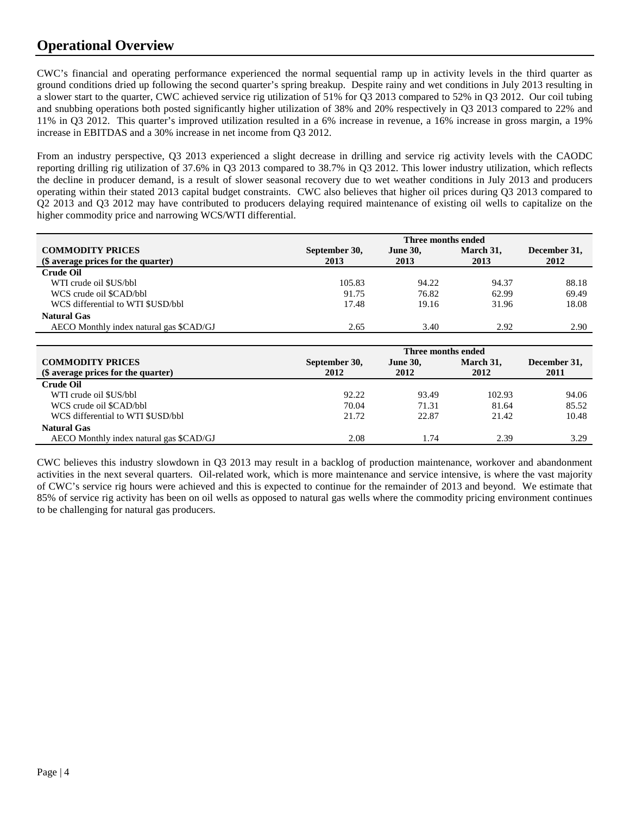# **Operational Overview**

CWC's financial and operating performance experienced the normal sequential ramp up in activity levels in the third quarter as ground conditions dried up following the second quarter's spring breakup. Despite rainy and wet conditions in July 2013 resulting in a slower start to the quarter, CWC achieved service rig utilization of 51% for Q3 2013 compared to 52% in Q3 2012. Our coil tubing and snubbing operations both posted significantly higher utilization of 38% and 20% respectively in Q3 2013 compared to 22% and 11% in Q3 2012. This quarter's improved utilization resulted in a 6% increase in revenue, a 16% increase in gross margin, a 19% increase in EBITDAS and a 30% increase in net income from Q3 2012.

From an industry perspective, Q3 2013 experienced a slight decrease in drilling and service rig activity levels with the CAODC reporting drilling rig utilization of 37.6% in Q3 2013 compared to 38.7% in Q3 2012. This lower industry utilization, which reflects the decline in producer demand, is a result of slower seasonal recovery due to wet weather conditions in July 2013 and producers operating within their stated 2013 capital budget constraints. CWC also believes that higher oil prices during Q3 2013 compared to Q2 2013 and Q3 2012 may have contributed to producers delaying required maintenance of existing oil wells to capitalize on the higher commodity price and narrowing WCS/WTI differential.

|                                         | Three months ended |                 |           |              |  |  |  |  |
|-----------------------------------------|--------------------|-----------------|-----------|--------------|--|--|--|--|
| <b>COMMODITY PRICES</b>                 | September 30,      | <b>June 30,</b> | March 31, | December 31, |  |  |  |  |
| (\$ average prices for the quarter)     | 2013               | 2013            | 2013      | 2012         |  |  |  |  |
| <b>Crude Oil</b>                        |                    |                 |           |              |  |  |  |  |
| WTI crude oil \$US/bbl                  | 105.83             | 94.22           | 94.37     | 88.18        |  |  |  |  |
| WCS crude oil \$CAD/bbl                 | 91.75              | 76.82           | 62.99     | 69.49        |  |  |  |  |
| WCS differential to WTI \$USD/bbl       | 17.48              | 19.16           | 31.96     | 18.08        |  |  |  |  |
| <b>Natural Gas</b>                      |                    |                 |           |              |  |  |  |  |
| AECO Monthly index natural gas \$CAD/GJ | 2.65               | 3.40            | 2.92      | 2.90         |  |  |  |  |

|                                         | Three months ended |                 |           |              |  |  |  |  |
|-----------------------------------------|--------------------|-----------------|-----------|--------------|--|--|--|--|
| <b>COMMODITY PRICES</b>                 | September 30,      | <b>June 30,</b> | March 31, | December 31, |  |  |  |  |
| (\$ average prices for the quarter)     | 2012               | 2012            | 2012      | 2011         |  |  |  |  |
| <b>Crude Oil</b>                        |                    |                 |           |              |  |  |  |  |
| WTI crude oil \$US/bbl                  | 92.22              | 93.49           | 102.93    | 94.06        |  |  |  |  |
| WCS crude oil \$CAD/bbl                 | 70.04              | 71.31           | 81.64     | 85.52        |  |  |  |  |
| WCS differential to WTI \$USD/bbl       | 21.72              | 22.87           | 21.42     | 10.48        |  |  |  |  |
| <b>Natural Gas</b>                      |                    |                 |           |              |  |  |  |  |
| AECO Monthly index natural gas \$CAD/GJ | 2.08               | 1.74            | 2.39      | 3.29         |  |  |  |  |

CWC believes this industry slowdown in Q3 2013 may result in a backlog of production maintenance, workover and abandonment activities in the next several quarters. Oil-related work, which is more maintenance and service intensive, is where the vast majority of CWC's service rig hours were achieved and this is expected to continue for the remainder of 2013 and beyond. We estimate that 85% of service rig activity has been on oil wells as opposed to natural gas wells where the commodity pricing environment continues to be challenging for natural gas producers.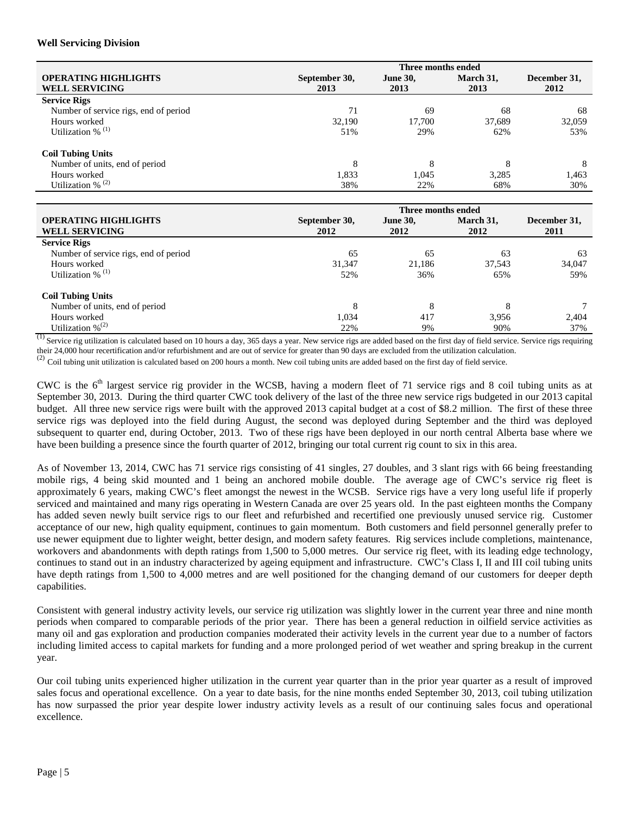#### **Well Servicing Division**

|                                       |               | Three months ended |           |              |
|---------------------------------------|---------------|--------------------|-----------|--------------|
| <b>OPERATING HIGHLIGHTS</b>           | September 30, | <b>June 30,</b>    | March 31, | December 31, |
| <b>WELL SERVICING</b>                 | 2013          | 2013               | 2013      | 2012         |
| <b>Service Rigs</b>                   |               |                    |           |              |
| Number of service rigs, end of period | 71            | 69                 | 68        | 68           |
| Hours worked                          | 32,190        | 17,700             | 37,689    | 32,059       |
| Utilization % $(1)$                   | 51%           | 29%                | 62%       | 53%          |
| <b>Coil Tubing Units</b>              |               |                    |           |              |
| Number of units, end of period        | 8             | 8                  |           | 8            |
| Hours worked                          | 1,833         | 1,045              | 3,285     | 1,463        |
| Utilization % $(2)$                   | 38%           | 22%                | 68%       | 30%          |

|                                       |               | Three months ended |           |              |
|---------------------------------------|---------------|--------------------|-----------|--------------|
| <b>OPERATING HIGHLIGHTS</b>           | September 30, | <b>June 30,</b>    | March 31, | December 31, |
| <b>WELL SERVICING</b>                 | 2012          | 2012               | 2012      | 2011         |
| <b>Service Rigs</b>                   |               |                    |           |              |
| Number of service rigs, end of period | 65            | 65                 | 63        | 63           |
| Hours worked                          | 31,347        | 21.186             | 37,543    | 34,047       |
| Utilization % $(1)$                   | 52%           | 36%                | 65%       | 59%          |
| <b>Coil Tubing Units</b>              |               |                    |           |              |
| Number of units, end of period        | 8             | 8                  |           |              |
| Hours worked                          | 1,034         | 417                | 3.956     | 2,404        |
| Utilization $\%^{(2)}$                | 22%           | 9%                 | 90%       | 37%          |

 $\overline{^{(1)}}$  Service rig utilization is calculated based on 10 hours a day, 365 days a year. New service rigs are added based on the first day of field service. Service rigs requiring their 24,000 hour recertification and/or refurbishment and are out of service for greater than 90 days are excluded from the utilization calculation.

 $^{(2)}$  Coil tubing unit utilization is calculated based on 200 hours a month. New coil tubing units are added based on the first day of field service.

CWC is the  $6<sup>th</sup>$  largest service rig provider in the WCSB, having a modern fleet of 71 service rigs and 8 coil tubing units as at September 30, 2013. During the third quarter CWC took delivery of the last of the three new service rigs budgeted in our 2013 capital budget. All three new service rigs were built with the approved 2013 capital budget at a cost of \$8.2 million. The first of these three service rigs was deployed into the field during August, the second was deployed during September and the third was deployed subsequent to quarter end, during October, 2013. Two of these rigs have been deployed in our north central Alberta base where we have been building a presence since the fourth quarter of 2012, bringing our total current rig count to six in this area.

As of November 13, 2014, CWC has 71 service rigs consisting of 41 singles, 27 doubles, and 3 slant rigs with 66 being freestanding mobile rigs, 4 being skid mounted and 1 being an anchored mobile double. The average age of CWC's service rig fleet is approximately 6 years, making CWC's fleet amongst the newest in the WCSB. Service rigs have a very long useful life if properly serviced and maintained and many rigs operating in Western Canada are over 25 years old. In the past eighteen months the Company has added seven newly built service rigs to our fleet and refurbished and recertified one previously unused service rig. Customer acceptance of our new, high quality equipment, continues to gain momentum. Both customers and field personnel generally prefer to use newer equipment due to lighter weight, better design, and modern safety features. Rig services include completions, maintenance, workovers and abandonments with depth ratings from 1,500 to 5,000 metres. Our service rig fleet, with its leading edge technology, continues to stand out in an industry characterized by ageing equipment and infrastructure. CWC's Class I, II and III coil tubing units have depth ratings from 1,500 to 4,000 metres and are well positioned for the changing demand of our customers for deeper depth capabilities.

Consistent with general industry activity levels, our service rig utilization was slightly lower in the current year three and nine month periods when compared to comparable periods of the prior year. There has been a general reduction in oilfield service activities as many oil and gas exploration and production companies moderated their activity levels in the current year due to a number of factors including limited access to capital markets for funding and a more prolonged period of wet weather and spring breakup in the current year.

Our coil tubing units experienced higher utilization in the current year quarter than in the prior year quarter as a result of improved sales focus and operational excellence. On a year to date basis, for the nine months ended September 30, 2013, coil tubing utilization has now surpassed the prior year despite lower industry activity levels as a result of our continuing sales focus and operational excellence.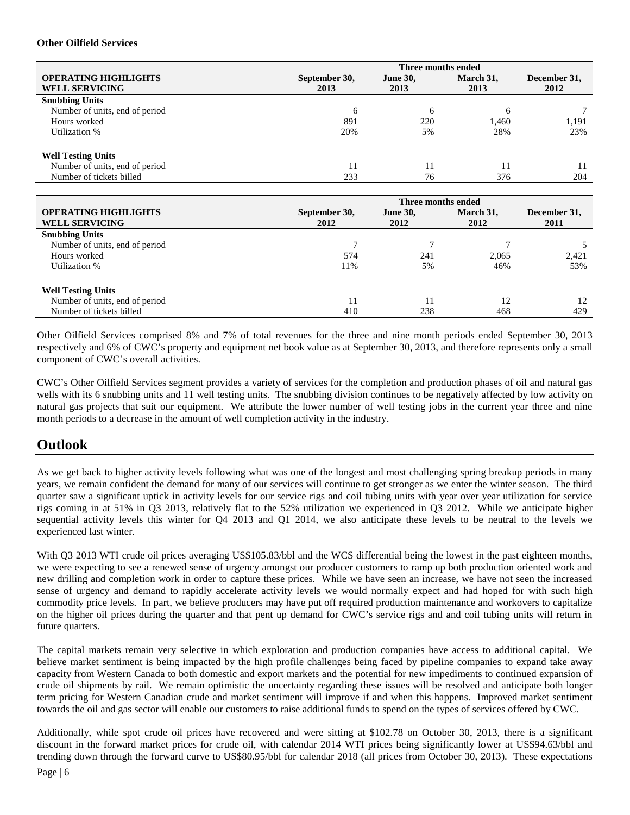#### **Other Oilfield Services**

|                                |               | Three months ended |              |              |
|--------------------------------|---------------|--------------------|--------------|--------------|
| <b>OPERATING HIGHLIGHTS</b>    | September 30, | <b>June 30,</b>    | March 31,    | December 31, |
| <b>WELL SERVICING</b>          | 2013          | 2013               | 2013         | 2012         |
| <b>Snubbing Units</b>          |               |                    |              |              |
| Number of units, end of period | 6             | 6                  | <sub>0</sub> |              |
| Hours worked                   | 891           | 220                | 1,460        | 1,191        |
| Utilization %                  | 20%           | 5%                 | 28%          | 23%          |
| <b>Well Testing Units</b>      |               |                    |              |              |
| Number of units, end of period | 11            | 11                 |              |              |
| Number of tickets billed       | 233           | 76                 | 376          | 204          |

|                                | Three months ended |                 |           |              |  |  |  |  |  |
|--------------------------------|--------------------|-----------------|-----------|--------------|--|--|--|--|--|
| <b>OPERATING HIGHLIGHTS</b>    | September 30,      | <b>June 30,</b> | March 31, | December 31, |  |  |  |  |  |
| <b>WELL SERVICING</b>          | 2012               | 2012            | 2012      | 2011         |  |  |  |  |  |
| <b>Snubbing Units</b>          |                    |                 |           |              |  |  |  |  |  |
| Number of units, end of period |                    |                 |           |              |  |  |  |  |  |
| Hours worked                   | 574                | 241             | 2.065     | 2,421        |  |  |  |  |  |
| Utilization %                  | 11%                | 5%              | 46%       | 53%          |  |  |  |  |  |
| <b>Well Testing Units</b>      |                    |                 |           |              |  |  |  |  |  |
| Number of units, end of period | 11                 |                 | 12        | 12           |  |  |  |  |  |
| Number of tickets billed       | 410                | 238             | 468       | 429          |  |  |  |  |  |

Other Oilfield Services comprised 8% and 7% of total revenues for the three and nine month periods ended September 30, 2013 respectively and 6% of CWC's property and equipment net book value as at September 30, 2013, and therefore represents only a small component of CWC's overall activities.

CWC's Other Oilfield Services segment provides a variety of services for the completion and production phases of oil and natural gas wells with its 6 snubbing units and 11 well testing units. The snubbing division continues to be negatively affected by low activity on natural gas projects that suit our equipment. We attribute the lower number of well testing jobs in the current year three and nine month periods to a decrease in the amount of well completion activity in the industry.

### **Outlook**

As we get back to higher activity levels following what was one of the longest and most challenging spring breakup periods in many years, we remain confident the demand for many of our services will continue to get stronger as we enter the winter season. The third quarter saw a significant uptick in activity levels for our service rigs and coil tubing units with year over year utilization for service rigs coming in at 51% in Q3 2013, relatively flat to the 52% utilization we experienced in Q3 2012. While we anticipate higher sequential activity levels this winter for Q4 2013 and Q1 2014, we also anticipate these levels to be neutral to the levels we experienced last winter.

With Q3 2013 WTI crude oil prices averaging US\$105.83/bbl and the WCS differential being the lowest in the past eighteen months, we were expecting to see a renewed sense of urgency amongst our producer customers to ramp up both production oriented work and new drilling and completion work in order to capture these prices. While we have seen an increase, we have not seen the increased sense of urgency and demand to rapidly accelerate activity levels we would normally expect and had hoped for with such high commodity price levels. In part, we believe producers may have put off required production maintenance and workovers to capitalize on the higher oil prices during the quarter and that pent up demand for CWC's service rigs and and coil tubing units will return in future quarters.

The capital markets remain very selective in which exploration and production companies have access to additional capital. We believe market sentiment is being impacted by the high profile challenges being faced by pipeline companies to expand take away capacity from Western Canada to both domestic and export markets and the potential for new impediments to continued expansion of crude oil shipments by rail. We remain optimistic the uncertainty regarding these issues will be resolved and anticipate both longer term pricing for Western Canadian crude and market sentiment will improve if and when this happens. Improved market sentiment towards the oil and gas sector will enable our customers to raise additional funds to spend on the types of services offered by CWC.

Additionally, while spot crude oil prices have recovered and were sitting at \$102.78 on October 30, 2013, there is a significant discount in the forward market prices for crude oil, with calendar 2014 WTI prices being significantly lower at US\$94.63/bbl and trending down through the forward curve to US\$80.95/bbl for calendar 2018 (all prices from October 30, 2013). These expectations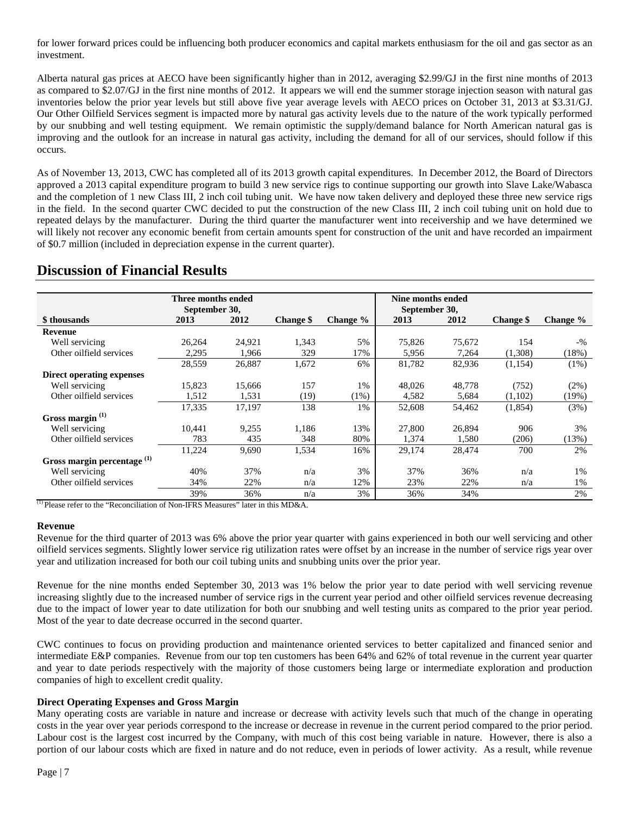for lower forward prices could be influencing both producer economics and capital markets enthusiasm for the oil and gas sector as an investment.

Alberta natural gas prices at AECO have been significantly higher than in 2012, averaging \$2.99/GJ in the first nine months of 2013 as compared to \$2.07/GJ in the first nine months of 2012. It appears we will end the summer storage injection season with natural gas inventories below the prior year levels but still above five year average levels with AECO prices on October 31, 2013 at \$3.31/GJ. Our Other Oilfield Services segment is impacted more by natural gas activity levels due to the nature of the work typically performed by our snubbing and well testing equipment. We remain optimistic the supply/demand balance for North American natural gas is improving and the outlook for an increase in natural gas activity, including the demand for all of our services, should follow if this occurs.

As of November 13, 2013, CWC has completed all of its 2013 growth capital expenditures. In December 2012, the Board of Directors approved a 2013 capital expenditure program to build 3 new service rigs to continue supporting our growth into Slave Lake/Wabasca and the completion of 1 new Class III, 2 inch coil tubing unit. We have now taken delivery and deployed these three new service rigs in the field. In the second quarter CWC decided to put the construction of the new Class III, 2 inch coil tubing unit on hold due to repeated delays by the manufacturer. During the third quarter the manufacturer went into receivership and we have determined we will likely not recover any economic benefit from certain amounts spent for construction of the unit and have recorded an impairment of \$0.7 million (included in depreciation expense in the current quarter).

### **Discussion of Financial Results**

|                               | Three months ended |        |                  |             |               | Nine months ended |                  |          |
|-------------------------------|--------------------|--------|------------------|-------------|---------------|-------------------|------------------|----------|
|                               | September 30,      |        |                  |             | September 30, |                   |                  |          |
| \$ thousands                  | 2013               | 2012   | <b>Change</b> \$ | Change $\%$ | 2013          | 2012              | <b>Change</b> \$ | Change % |
| Revenue                       |                    |        |                  |             |               |                   |                  |          |
| Well servicing                | 26,264             | 24,921 | 1,343            | 5%          | 75,826        | 75,672            | 154              | $-$ %    |
| Other oilfield services       | 2,295              | 1,966  | 329              | 17%         | 5,956         | 7,264             | (1,308)          | (18%)    |
|                               | 28,559             | 26,887 | 1,672            | 6%          | 81,782        | 82,936            | (1,154)          | $(1\%)$  |
| Direct operating expenses     |                    |        |                  |             |               |                   |                  |          |
| Well servicing                | 15,823             | 15,666 | 157              | 1%          | 48,026        | 48,778            | (752)            | (2%)     |
| Other oilfield services       | 1,512              | 1,531  | (19)             | (1%)        | 4,582         | 5,684             | (1,102)          | (19%)    |
|                               | 17,335             | 17,197 | 138              | 1%          | 52,608        | 54,462            | (1,854)          | (3%)     |
| Gross margin <sup>(1)</sup>   |                    |        |                  |             |               |                   |                  |          |
| Well servicing                | 10.441             | 9,255  | 1,186            | 13%         | 27,800        | 26,894            | 906              | 3%       |
| Other oilfield services       | 783                | 435    | 348              | 80%         | 1,374         | 1,580             | (206)            | (13%)    |
|                               | 11,224             | 9,690  | 1,534            | 16%         | 29,174        | 28,474            | 700              | 2%       |
| Gross margin percentage $(1)$ |                    |        |                  |             |               |                   |                  |          |
| Well servicing                | 40%                | 37%    | n/a              | 3%          | 37%           | 36%               | n/a              | 1%       |
| Other oilfield services       | 34%                | 22%    | n/a              | 12%         | 23%           | 22%               | n/a              | 1%       |
|                               | 39%                | 36%    | n/a              | 3%          | 36%           | 34%               |                  | 2%       |

(1) Please refer to the "Reconciliation of Non-IFRS Measures" later in this MD&A.

#### **Revenue**

Revenue for the third quarter of 2013 was 6% above the prior year quarter with gains experienced in both our well servicing and other oilfield services segments. Slightly lower service rig utilization rates were offset by an increase in the number of service rigs year over year and utilization increased for both our coil tubing units and snubbing units over the prior year.

Revenue for the nine months ended September 30, 2013 was 1% below the prior year to date period with well servicing revenue increasing slightly due to the increased number of service rigs in the current year period and other oilfield services revenue decreasing due to the impact of lower year to date utilization for both our snubbing and well testing units as compared to the prior year period. Most of the year to date decrease occurred in the second quarter.

CWC continues to focus on providing production and maintenance oriented services to better capitalized and financed senior and intermediate E&P companies. Revenue from our top ten customers has been 64% and 62% of total revenue in the current year quarter and year to date periods respectively with the majority of those customers being large or intermediate exploration and production companies of high to excellent credit quality.

### **Direct Operating Expenses and Gross Margin**

Many operating costs are variable in nature and increase or decrease with activity levels such that much of the change in operating costs in the year over year periods correspond to the increase or decrease in revenue in the current period compared to the prior period. Labour cost is the largest cost incurred by the Company, with much of this cost being variable in nature. However, there is also a portion of our labour costs which are fixed in nature and do not reduce, even in periods of lower activity. As a result, while revenue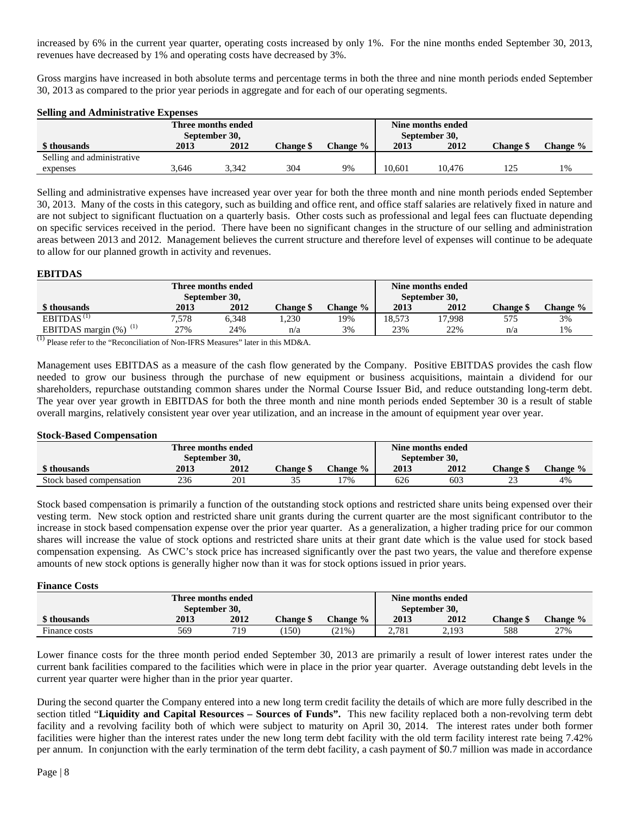increased by 6% in the current year quarter, operating costs increased by only 1%. For the nine months ended September 30, 2013, revenues have decreased by 1% and operating costs have decreased by 3%.

Gross margins have increased in both absolute terms and percentage terms in both the three and nine month periods ended September 30, 2013 as compared to the prior year periods in aggregate and for each of our operating segments.

#### **Selling and Administrative Expenses**

| Three months ended<br>September 30, |       |       |                  |          |        | Nine months ended<br>September 30, |                  |          |
|-------------------------------------|-------|-------|------------------|----------|--------|------------------------------------|------------------|----------|
| \$ thousands                        | 2013  | 2012  | <b>Change \$</b> | Change % | 2013   | 2012                               | <b>Change</b> \$ | Change % |
| Selling and administrative          |       |       |                  |          |        |                                    |                  |          |
| expenses                            | 3.646 | 3.342 | 304              | 9%       | 10.601 | 10.476                             | 125              | 1%       |

Selling and administrative expenses have increased year over year for both the three month and nine month periods ended September 30, 2013. Many of the costs in this category, such as building and office rent, and office staff salaries are relatively fixed in nature and are not subject to significant fluctuation on a quarterly basis. Other costs such as professional and legal fees can fluctuate depending on specific services received in the period. There have been no significant changes in the structure of our selling and administration areas between 2013 and 2012. Management believes the current structure and therefore level of expenses will continue to be adequate to allow for our planned growth in activity and revenues.

#### **EBITDAS**

| Three months ended<br>September 30,           |       |       |                  |                 |        | Nine months ended<br>September 30, |                 |          |
|-----------------------------------------------|-------|-------|------------------|-----------------|--------|------------------------------------|-----------------|----------|
| \$ thousands                                  | 2013  | 2012  | <b>Change \$</b> | <b>Change</b> % | 2013   | 2012                               | <b>Change S</b> | Change % |
| $EBITDAS$ <sup>(1)</sup>                      | 7.578 | 6.348 | .230             | 19%             | 18.573 | '7,998                             | 575             | 3%       |
| (1)<br>EBITDAS margin $(\%)$<br>$\rightarrow$ | 27%   | 24%   | n/a              | 3%              | 23%    | 22%                                | n/a             | 1%       |

 $<sup>(1)</sup>$  Please refer to the "Reconciliation of Non-IFRS Measures" later in this MD&A.</sup>

Management uses EBITDAS as a measure of the cash flow generated by the Company. Positive EBITDAS provides the cash flow needed to grow our business through the purchase of new equipment or business acquisitions, maintain a dividend for our shareholders, repurchase outstanding common shares under the Normal Course Issuer Bid, and reduce outstanding long-term debt. The year over year growth in EBITDAS for both the three month and nine month periods ended September 30 is a result of stable overall margins, relatively consistent year over year utilization, and an increase in the amount of equipment year over year.

#### **Stock-Based Compensation**

| Three months ended       |      |      |                  |          |               | Nine months ended |                 |          |
|--------------------------|------|------|------------------|----------|---------------|-------------------|-----------------|----------|
| September 30,            |      |      |                  |          | September 30, |                   |                 |          |
| \$ thousands             | 2013 | 2012 | <b>Change \$</b> | Change % | 2013          | 2012              | <b>Change</b> S | Change % |
| Stock based compensation | 236  | 201  | ັ                | .7%      | 626           | 603               | ت               | 4%       |

Stock based compensation is primarily a function of the outstanding stock options and restricted share units being expensed over their vesting term. New stock option and restricted share unit grants during the current quarter are the most significant contributor to the increase in stock based compensation expense over the prior year quarter. As a generalization, a higher trading price for our common shares will increase the value of stock options and restricted share units at their grant date which is the value used for stock based compensation expensing. As CWC's stock price has increased significantly over the past two years, the value and therefore expense amounts of new stock options is generally higher now than it was for stock options issued in prior years.

#### **Finance Costs**

| Three months ended |      |      |                  |          |               | Nine months ended |                  |          |
|--------------------|------|------|------------------|----------|---------------|-------------------|------------------|----------|
| September 30,      |      |      |                  |          | September 30. |                   |                  |          |
| \$ thousands       | 2013 | 2012 | <b>Change</b> \$ | Change % | 2013          | 2012              | <b>Change</b> \$ | Change % |
| Finance costs      | 569  | 719  | (150)            | (21%     | 2.781         | 2.193             | 588              | 27%      |

Lower finance costs for the three month period ended September 30, 2013 are primarily a result of lower interest rates under the current bank facilities compared to the facilities which were in place in the prior year quarter. Average outstanding debt levels in the current year quarter were higher than in the prior year quarter.

During the second quarter the Company entered into a new long term credit facility the details of which are more fully described in the section titled "**Liquidity and Capital Resources – Sources of Funds".** This new facility replaced both a non-revolving term debt facility and a revolving facility both of which were subject to maturity on April 30, 2014. The interest rates under both former facilities were higher than the interest rates under the new long term debt facility with the old term facility interest rate being 7.42% per annum. In conjunction with the early termination of the term debt facility, a cash payment of \$0.7 million was made in accordance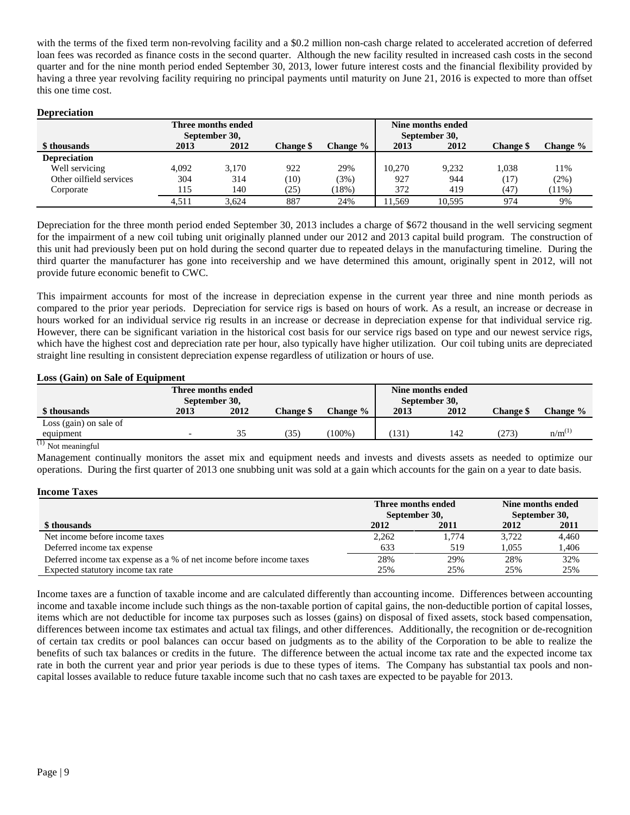with the terms of the fixed term non-revolving facility and a \$0.2 million non-cash charge related to accelerated accretion of deferred loan fees was recorded as finance costs in the second quarter. Although the new facility resulted in increased cash costs in the second quarter and for the nine month period ended September 30, 2013, lower future interest costs and the financial flexibility provided by having a three year revolving facility requiring no principal payments until maturity on June 21, 2016 is expected to more than offset this one time cost.

#### **Depreciation**

| Three months ended<br>September 30, |       |       |                  |          | Nine months ended<br>September 30, |        |                  |          |
|-------------------------------------|-------|-------|------------------|----------|------------------------------------|--------|------------------|----------|
| \$ thousands                        | 2013  | 2012  | <b>Change \$</b> | Change % | 2013                               | 2012   | <b>Change</b> \$ | Change % |
| <b>Depreciation</b>                 |       |       |                  |          |                                    |        |                  |          |
| Well servicing                      | 4.092 | 3.170 | 922              | 29%      | 10.270                             | 9.232  | 1.038            | 11%      |
| Other oilfield services             | 304   | 314   | (10)             | (3%)     | 927                                | 944    | (17)             | (2%)     |
| Corporate                           | 115   | 140   | (25)             | (18%)    | 372                                | 419    | (47)             | $(11\%)$ |
|                                     | 4.511 | 3.624 | 887              | 24%      | 11.569                             | 10.595 | 974              | 9%       |

Depreciation for the three month period ended September 30, 2013 includes a charge of \$672 thousand in the well servicing segment for the impairment of a new coil tubing unit originally planned under our 2012 and 2013 capital build program. The construction of this unit had previously been put on hold during the second quarter due to repeated delays in the manufacturing timeline. During the third quarter the manufacturer has gone into receivership and we have determined this amount, originally spent in 2012, will not provide future economic benefit to CWC.

This impairment accounts for most of the increase in depreciation expense in the current year three and nine month periods as compared to the prior year periods. Depreciation for service rigs is based on hours of work. As a result, an increase or decrease in hours worked for an individual service rig results in an increase or decrease in depreciation expense for that individual service rig. However, there can be significant variation in the historical cost basis for our service rigs based on type and our newest service rigs, which have the highest cost and depreciation rate per hour, also typically have higher utilization. Our coil tubing units are depreciated straight line resulting in consistent depreciation expense regardless of utilization or hours of use.

#### **Loss (Gain) on Sale of Equipment**

| Three months ended<br>September 30, |      |      |           |           | Nine months ended<br>September 30, |      |                  |                      |
|-------------------------------------|------|------|-----------|-----------|------------------------------------|------|------------------|----------------------|
| \$ thousands                        | 2013 | 2012 | Change \$ | Change %  | 2013                               | 2012 | <b>Change \$</b> | Change %             |
| Loss (gain) on sale of              |      |      |           |           |                                    |      |                  |                      |
| equipment                           |      | 35   | 35        | $(100\%)$ | 131                                | 142  | (273)            | $n/m$ <sup>(1)</sup> |
| $(1)$ $\pi$ .                       |      |      |           |           |                                    |      |                  |                      |

Not meaningful

Management continually monitors the asset mix and equipment needs and invests and divests assets as needed to optimize our operations. During the first quarter of 2013 one snubbing unit was sold at a gain which accounts for the gain on a year to date basis.

#### **Income Taxes**

|                                                                      | Three months ended |             | Nine months ended<br>September 30, |       |  |
|----------------------------------------------------------------------|--------------------|-------------|------------------------------------|-------|--|
|                                                                      | September 30,      |             |                                    |       |  |
| \$ thousands                                                         | 2012               | <b>2011</b> | 2012                               | 2011  |  |
| Net income before income taxes                                       | 2,262              | .774        | 3.722                              | 4.460 |  |
| Deferred income tax expense                                          | 633                | 519         | 1.055                              | 1,406 |  |
| Deferred income tax expense as a % of net income before income taxes | 28%                | 29%         | 28%                                | 32%   |  |
| Expected statutory income tax rate                                   | 25%                | 25%         | 25%                                | 25%   |  |

Income taxes are a function of taxable income and are calculated differently than accounting income. Differences between accounting income and taxable income include such things as the non-taxable portion of capital gains, the non-deductible portion of capital losses, items which are not deductible for income tax purposes such as losses (gains) on disposal of fixed assets, stock based compensation, differences between income tax estimates and actual tax filings, and other differences. Additionally, the recognition or de-recognition of certain tax credits or pool balances can occur based on judgments as to the ability of the Corporation to be able to realize the benefits of such tax balances or credits in the future. The difference between the actual income tax rate and the expected income tax rate in both the current year and prior year periods is due to these types of items. The Company has substantial tax pools and noncapital losses available to reduce future taxable income such that no cash taxes are expected to be payable for 2013.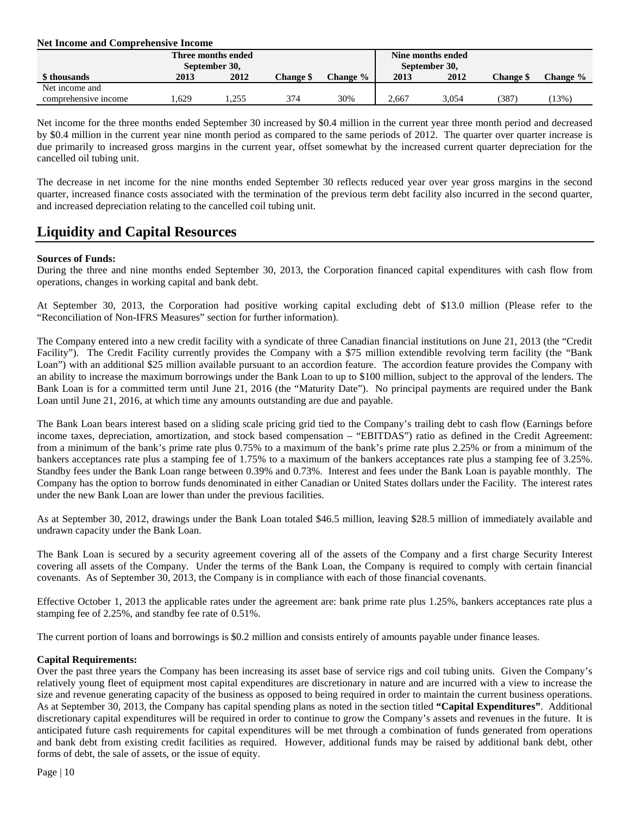#### **Net Income and Comprehensive Income**

|                      | Three months ended<br>September 30, |       |                  |             |       | Nine months ended<br>September 30, |                  |          |
|----------------------|-------------------------------------|-------|------------------|-------------|-------|------------------------------------|------------------|----------|
| \$ thousands         | 2013                                | 2012  | <b>Change \$</b> | Change $\%$ | 2013  | 2012                               | <b>Change \$</b> | Change % |
| Net income and       |                                     |       |                  |             |       |                                    |                  |          |
| comprehensive income | .629                                | 1.255 | 374              | 30%         | 2.667 | 3.054                              | 1387.            | $13\%$   |

Net income for the three months ended September 30 increased by \$0.4 million in the current year three month period and decreased by \$0.4 million in the current year nine month period as compared to the same periods of 2012. The quarter over quarter increase is due primarily to increased gross margins in the current year, offset somewhat by the increased current quarter depreciation for the cancelled oil tubing unit.

The decrease in net income for the nine months ended September 30 reflects reduced year over year gross margins in the second quarter, increased finance costs associated with the termination of the previous term debt facility also incurred in the second quarter, and increased depreciation relating to the cancelled coil tubing unit.

### **Liquidity and Capital Resources**

#### **Sources of Funds:**

During the three and nine months ended September 30, 2013, the Corporation financed capital expenditures with cash flow from operations, changes in working capital and bank debt.

At September 30, 2013, the Corporation had positive working capital excluding debt of \$13.0 million (Please refer to the "Reconciliation of Non-IFRS Measures" section for further information).

The Company entered into a new credit facility with a syndicate of three Canadian financial institutions on June 21, 2013 (the "Credit Facility"). The Credit Facility currently provides the Company with a \$75 million extendible revolving term facility (the "Bank Loan") with an additional \$25 million available pursuant to an accordion feature. The accordion feature provides the Company with an ability to increase the maximum borrowings under the Bank Loan to up to \$100 million, subject to the approval of the lenders. The Bank Loan is for a committed term until June 21, 2016 (the "Maturity Date"). No principal payments are required under the Bank Loan until June 21, 2016, at which time any amounts outstanding are due and payable.

The Bank Loan bears interest based on a sliding scale pricing grid tied to the Company's trailing debt to cash flow (Earnings before income taxes, depreciation, amortization, and stock based compensation – "EBITDAS") ratio as defined in the Credit Agreement: from a minimum of the bank's prime rate plus 0.75% to a maximum of the bank's prime rate plus 2.25% or from a minimum of the bankers acceptances rate plus a stamping fee of 1.75% to a maximum of the bankers acceptances rate plus a stamping fee of 3.25%. Standby fees under the Bank Loan range between 0.39% and 0.73%. Interest and fees under the Bank Loan is payable monthly. The Company has the option to borrow funds denominated in either Canadian or United States dollars under the Facility. The interest rates under the new Bank Loan are lower than under the previous facilities.

As at September 30, 2012, drawings under the Bank Loan totaled \$46.5 million, leaving \$28.5 million of immediately available and undrawn capacity under the Bank Loan.

The Bank Loan is secured by a security agreement covering all of the assets of the Company and a first charge Security Interest covering all assets of the Company. Under the terms of the Bank Loan, the Company is required to comply with certain financial covenants. As of September 30, 2013, the Company is in compliance with each of those financial covenants.

Effective October 1, 2013 the applicable rates under the agreement are: bank prime rate plus 1.25%, bankers acceptances rate plus a stamping fee of 2.25%, and standby fee rate of 0.51%.

The current portion of loans and borrowings is \$0.2 million and consists entirely of amounts payable under finance leases.

#### **Capital Requirements:**

Over the past three years the Company has been increasing its asset base of service rigs and coil tubing units. Given the Company's relatively young fleet of equipment most capital expenditures are discretionary in nature and are incurred with a view to increase the size and revenue generating capacity of the business as opposed to being required in order to maintain the current business operations. As at September 30, 2013, the Company has capital spending plans as noted in the section titled **"Capital Expenditures"**. Additional discretionary capital expenditures will be required in order to continue to grow the Company's assets and revenues in the future. It is anticipated future cash requirements for capital expenditures will be met through a combination of funds generated from operations and bank debt from existing credit facilities as required. However, additional funds may be raised by additional bank debt, other forms of debt, the sale of assets, or the issue of equity.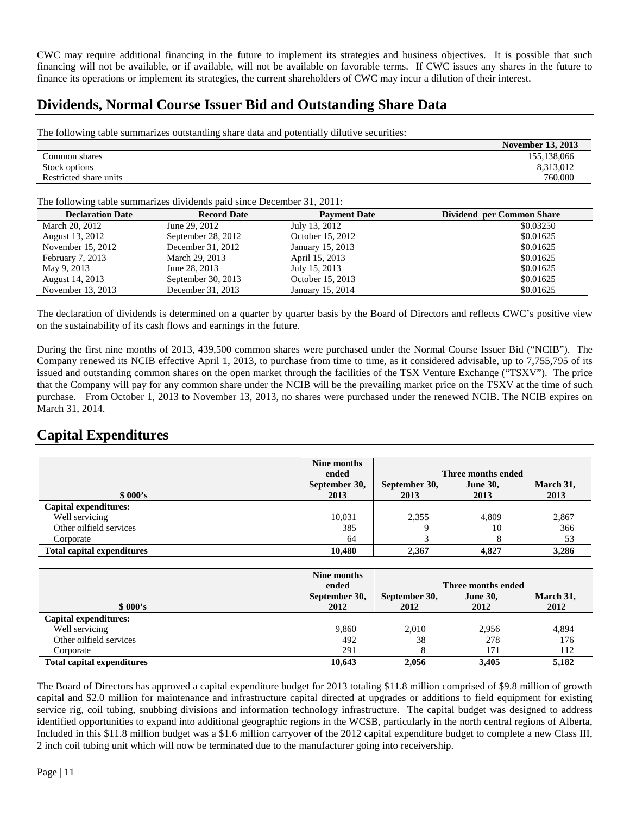CWC may require additional financing in the future to implement its strategies and business objectives. It is possible that such financing will not be available, or if available, will not be available on favorable terms. If CWC issues any shares in the future to finance its operations or implement its strategies, the current shareholders of CWC may incur a dilution of their interest.

### **Dividends, Normal Course Issuer Bid and Outstanding Share Data**

The following table summarizes outstanding share data and potentially dilutive securities:

|                        | <b>November 13, 2013</b> |
|------------------------|--------------------------|
| Common shares          | 155,138,066              |
| Stock options          | 8,313,012                |
| Restricted share units | 760,000                  |
|                        |                          |

The following table summarizes dividends paid since December 31, 2011:

| <b>Declaration Date</b> | <b>Record Date</b> | <b>Payment Date</b> | Dividend per Common Share |
|-------------------------|--------------------|---------------------|---------------------------|
| March 20, 2012          | June 29, 2012      | July 13, 2012       | \$0.03250                 |
| August 13, 2012         | September 28, 2012 | October 15, 2012    | \$0.01625                 |
| November 15, 2012       | December 31, 2012  | January 15, 2013    | \$0.01625                 |
| February 7, 2013        | March 29, 2013     | April 15, 2013      | \$0.01625                 |
| May 9, 2013             | June 28, 2013      | July 15, 2013       | \$0.01625                 |
| August 14, 2013         | September 30, 2013 | October 15, 2013    | \$0.01625                 |
| November 13, 2013       | December 31, 2013  | January 15, 2014    | \$0.01625                 |

The declaration of dividends is determined on a quarter by quarter basis by the Board of Directors and reflects CWC's positive view on the sustainability of its cash flows and earnings in the future.

During the first nine months of 2013, 439,500 common shares were purchased under the Normal Course Issuer Bid ("NCIB"). The Company renewed its NCIB effective April 1, 2013, to purchase from time to time, as it considered advisable, up to 7,755,795 of its issued and outstanding common shares on the open market through the facilities of the TSX Venture Exchange ("TSXV"). The price that the Company will pay for any common share under the NCIB will be the prevailing market price on the TSXV at the time of such purchase. From October 1, 2013 to November 13, 2013, no shares were purchased under the renewed NCIB. The NCIB expires on March 31, 2014.

# **Capital Expenditures**

|                                   | Nine months<br>ended<br>September 30, | Three months ended<br>September 30,<br><b>June 30,</b> |                    | March 31, |
|-----------------------------------|---------------------------------------|--------------------------------------------------------|--------------------|-----------|
| \$000's                           | 2013                                  | 2013                                                   | 2013               | 2013      |
| Capital expenditures:             |                                       |                                                        |                    |           |
| Well servicing                    | 10,031                                | 2,355                                                  | 4,809              | 2,867     |
| Other oilfield services           | 385                                   | 9                                                      | 10                 | 366       |
| Corporate                         | 64                                    | 3                                                      | 8                  | 53        |
| <b>Total capital expenditures</b> | 10,480                                | 2,367                                                  | 4,827              | 3,286     |
|                                   |                                       |                                                        |                    |           |
|                                   | Nine months                           |                                                        |                    |           |
|                                   | ended                                 |                                                        | Three months ended |           |
|                                   | September 30,                         | September 30,                                          | <b>June 30,</b>    | March 31, |
| \$000's                           | 2012                                  | 2012                                                   | 2012               | 2012      |
| <b>Capital expenditures:</b>      |                                       |                                                        |                    |           |
| Well servicing                    | 9,860                                 | 2,010                                                  | 2,956              | 4,894     |
| Other oilfield services           | 492                                   | 38                                                     | 278                | 176       |
| Corporate                         | 291                                   | 8                                                      | 171                | 112       |
| <b>Total capital expenditures</b> | 10,643                                | 2,056                                                  | 3,405              | 5,182     |

The Board of Directors has approved a capital expenditure budget for 2013 totaling \$11.8 million comprised of \$9.8 million of growth capital and \$2.0 million for maintenance and infrastructure capital directed at upgrades or additions to field equipment for existing service rig, coil tubing, snubbing divisions and information technology infrastructure. The capital budget was designed to address identified opportunities to expand into additional geographic regions in the WCSB, particularly in the north central regions of Alberta, Included in this \$11.8 million budget was a \$1.6 million carryover of the 2012 capital expenditure budget to complete a new Class III, 2 inch coil tubing unit which will now be terminated due to the manufacturer going into receivership.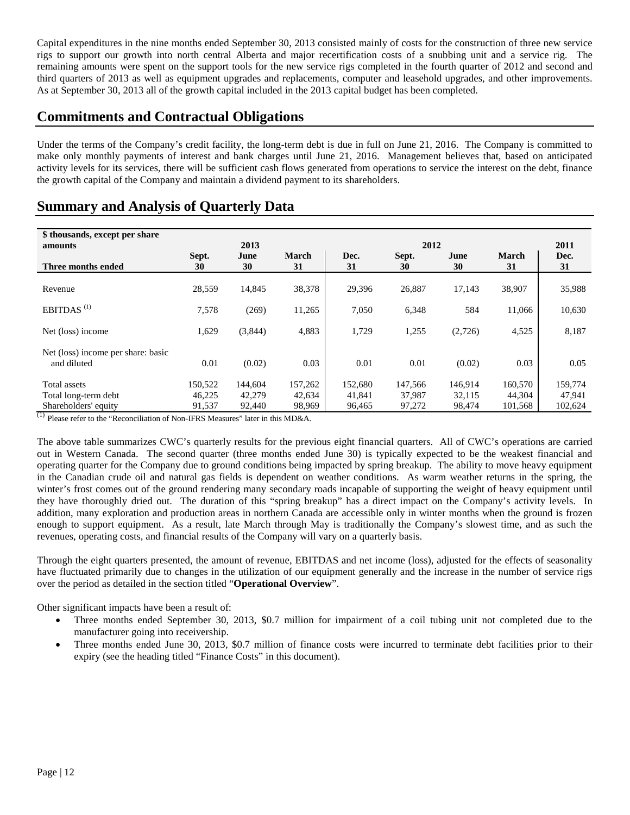Capital expenditures in the nine months ended September 30, 2013 consisted mainly of costs for the construction of three new service rigs to support our growth into north central Alberta and major recertification costs of a snubbing unit and a service rig. The remaining amounts were spent on the support tools for the new service rigs completed in the fourth quarter of 2012 and second and third quarters of 2013 as well as equipment upgrades and replacements, computer and leasehold upgrades, and other improvements. As at September 30, 2013 all of the growth capital included in the 2013 capital budget has been completed.

### **Commitments and Contractual Obligations**

Under the terms of the Company's credit facility, the long-term debt is due in full on June 21, 2016. The Company is committed to make only monthly payments of interest and bank charges until June 21, 2016. Management believes that, based on anticipated activity levels for its services, there will be sufficient cash flows generated from operations to service the interest on the debt, finance the growth capital of the Company and maintain a dividend payment to its shareholders.

| \$ thousands, except per share<br>amounts         |             | 2013       |                    |            | 2012        |            |                    | 2011       |
|---------------------------------------------------|-------------|------------|--------------------|------------|-------------|------------|--------------------|------------|
| Three months ended                                | Sept.<br>30 | June<br>30 | <b>March</b><br>31 | Dec.<br>31 | Sept.<br>30 | June<br>30 | <b>March</b><br>31 | Dec.<br>31 |
| Revenue                                           | 28,559      | 14,845     | 38,378             | 29,396     | 26,887      | 17,143     | 38,907             | 35,988     |
| EBITDAS <sup><math>(1)</math></sup>               | 7,578       | (269)      | 11,265             | 7,050      | 6,348       | 584        | 11,066             | 10,630     |
| Net (loss) income                                 | 1,629       | (3,844)    | 4,883              | 1,729      | 1,255       | (2,726)    | 4,525              | 8,187      |
| Net (loss) income per share: basic<br>and diluted | 0.01        | (0.02)     | 0.03               | 0.01       | 0.01        | (0.02)     | 0.03               | 0.05       |
| Total assets                                      | 150,522     | 144,604    | 157,262            | 152,680    | 147,566     | 146,914    | 160,570            | 159,774    |
| Total long-term debt                              | 46,225      | 42,279     | 42,634             | 41,841     | 37,987      | 32,115     | 44,304             | 47,941     |
| Shareholders' equity                              | 91,537      | 92,440     | 98,969             | 96,465     | 97,272      | 98,474     | 101,568            | 102,624    |

# **Summary and Analysis of Quarterly Data**

 $<sup>(1)</sup>$  Please refer to the "Reconciliation of Non-IFRS Measures" later in this MD&A.</sup>

The above table summarizes CWC's quarterly results for the previous eight financial quarters. All of CWC's operations are carried out in Western Canada. The second quarter (three months ended June 30) is typically expected to be the weakest financial and operating quarter for the Company due to ground conditions being impacted by spring breakup. The ability to move heavy equipment in the Canadian crude oil and natural gas fields is dependent on weather conditions. As warm weather returns in the spring, the winter's frost comes out of the ground rendering many secondary roads incapable of supporting the weight of heavy equipment until they have thoroughly dried out. The duration of this "spring breakup" has a direct impact on the Company's activity levels. In addition, many exploration and production areas in northern Canada are accessible only in winter months when the ground is frozen enough to support equipment. As a result, late March through May is traditionally the Company's slowest time, and as such the revenues, operating costs, and financial results of the Company will vary on a quarterly basis.

Through the eight quarters presented, the amount of revenue, EBITDAS and net income (loss), adjusted for the effects of seasonality have fluctuated primarily due to changes in the utilization of our equipment generally and the increase in the number of service rigs over the period as detailed in the section titled "**Operational Overview**".

Other significant impacts have been a result of:

- Three months ended September 30, 2013, \$0.7 million for impairment of a coil tubing unit not completed due to the manufacturer going into receivership.
- Three months ended June 30, 2013, \$0.7 million of finance costs were incurred to terminate debt facilities prior to their expiry (see the heading titled "Finance Costs" in this document).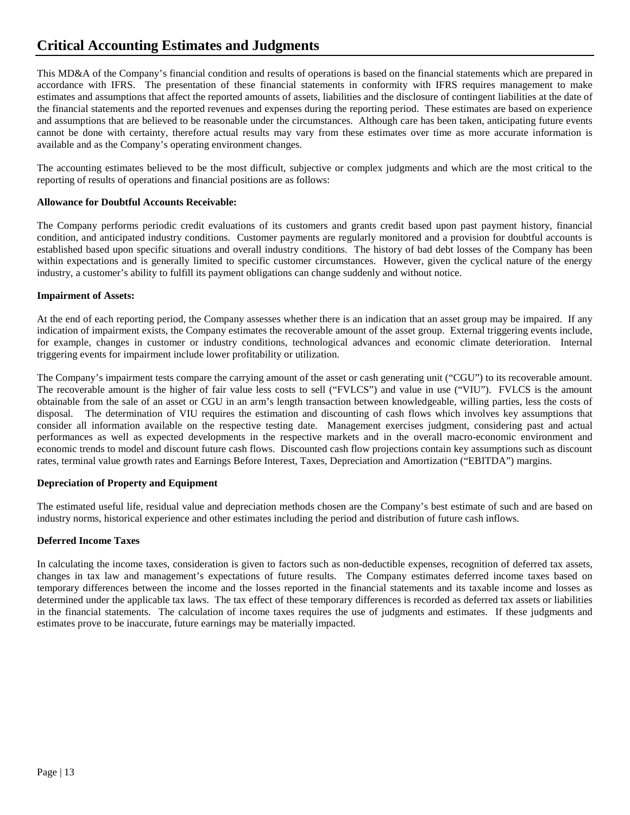# **Critical Accounting Estimates and Judgments**

This MD&A of the Company's financial condition and results of operations is based on the financial statements which are prepared in accordance with IFRS. The presentation of these financial statements in conformity with IFRS requires management to make estimates and assumptions that affect the reported amounts of assets, liabilities and the disclosure of contingent liabilities at the date of the financial statements and the reported revenues and expenses during the reporting period. These estimates are based on experience and assumptions that are believed to be reasonable under the circumstances. Although care has been taken, anticipating future events cannot be done with certainty, therefore actual results may vary from these estimates over time as more accurate information is available and as the Company's operating environment changes.

The accounting estimates believed to be the most difficult, subjective or complex judgments and which are the most critical to the reporting of results of operations and financial positions are as follows:

#### **Allowance for Doubtful Accounts Receivable:**

The Company performs periodic credit evaluations of its customers and grants credit based upon past payment history, financial condition, and anticipated industry conditions. Customer payments are regularly monitored and a provision for doubtful accounts is established based upon specific situations and overall industry conditions. The history of bad debt losses of the Company has been within expectations and is generally limited to specific customer circumstances. However, given the cyclical nature of the energy industry, a customer's ability to fulfill its payment obligations can change suddenly and without notice.

#### **Impairment of Assets:**

At the end of each reporting period, the Company assesses whether there is an indication that an asset group may be impaired. If any indication of impairment exists, the Company estimates the recoverable amount of the asset group. External triggering events include, for example, changes in customer or industry conditions, technological advances and economic climate deterioration. Internal triggering events for impairment include lower profitability or utilization.

The Company's impairment tests compare the carrying amount of the asset or cash generating unit ("CGU") to its recoverable amount. The recoverable amount is the higher of fair value less costs to sell ("FVLCS") and value in use ("VIU"). FVLCS is the amount obtainable from the sale of an asset or CGU in an arm's length transaction between knowledgeable, willing parties, less the costs of disposal. The determination of VIU requires the estimation and discounting of cash flows which involves key assumptions that consider all information available on the respective testing date. Management exercises judgment, considering past and actual performances as well as expected developments in the respective markets and in the overall macro-economic environment and economic trends to model and discount future cash flows. Discounted cash flow projections contain key assumptions such as discount rates, terminal value growth rates and Earnings Before Interest, Taxes, Depreciation and Amortization ("EBITDA") margins.

#### **Depreciation of Property and Equipment**

The estimated useful life, residual value and depreciation methods chosen are the Company's best estimate of such and are based on industry norms, historical experience and other estimates including the period and distribution of future cash inflows.

#### **Deferred Income Taxes**

In calculating the income taxes, consideration is given to factors such as non-deductible expenses, recognition of deferred tax assets, changes in tax law and management's expectations of future results. The Company estimates deferred income taxes based on temporary differences between the income and the losses reported in the financial statements and its taxable income and losses as determined under the applicable tax laws. The tax effect of these temporary differences is recorded as deferred tax assets or liabilities in the financial statements. The calculation of income taxes requires the use of judgments and estimates. If these judgments and estimates prove to be inaccurate, future earnings may be materially impacted.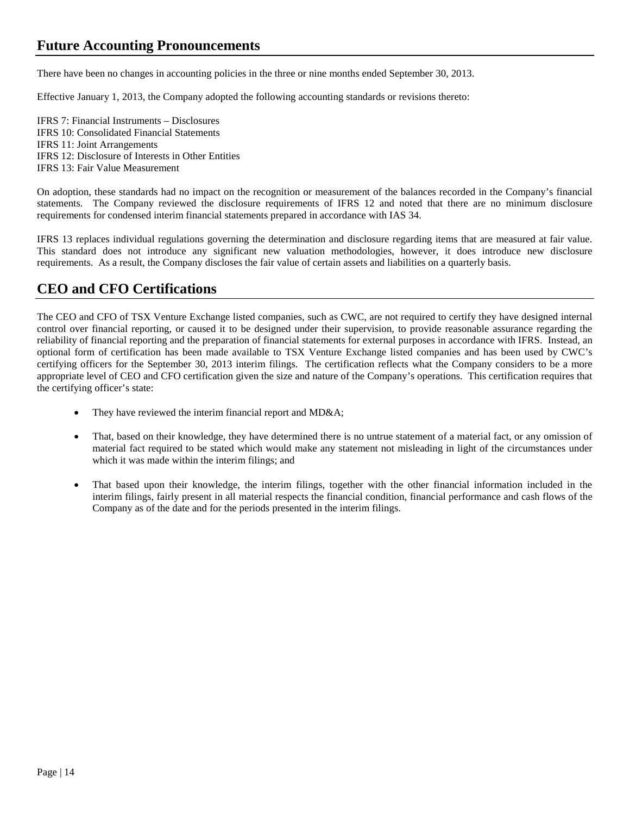There have been no changes in accounting policies in the three or nine months ended September 30, 2013.

Effective January 1, 2013, the Company adopted the following accounting standards or revisions thereto:

IFRS 7: Financial Instruments – Disclosures IFRS 10: Consolidated Financial Statements IFRS 11: Joint Arrangements IFRS 12: Disclosure of Interests in Other Entities IFRS 13: Fair Value Measurement

On adoption, these standards had no impact on the recognition or measurement of the balances recorded in the Company's financial statements. The Company reviewed the disclosure requirements of IFRS 12 and noted that there are no minimum disclosure requirements for condensed interim financial statements prepared in accordance with IAS 34.

IFRS 13 replaces individual regulations governing the determination and disclosure regarding items that are measured at fair value. This standard does not introduce any significant new valuation methodologies, however, it does introduce new disclosure requirements. As a result, the Company discloses the fair value of certain assets and liabilities on a quarterly basis.

### **CEO and CFO Certifications**

The CEO and CFO of TSX Venture Exchange listed companies, such as CWC, are not required to certify they have designed internal control over financial reporting, or caused it to be designed under their supervision, to provide reasonable assurance regarding the reliability of financial reporting and the preparation of financial statements for external purposes in accordance with IFRS. Instead, an optional form of certification has been made available to TSX Venture Exchange listed companies and has been used by CWC's certifying officers for the September 30, 2013 interim filings. The certification reflects what the Company considers to be a more appropriate level of CEO and CFO certification given the size and nature of the Company's operations. This certification requires that the certifying officer's state:

- They have reviewed the interim financial report and MD&A;
- That, based on their knowledge, they have determined there is no untrue statement of a material fact, or any omission of material fact required to be stated which would make any statement not misleading in light of the circumstances under which it was made within the interim filings; and
- That based upon their knowledge, the interim filings, together with the other financial information included in the interim filings, fairly present in all material respects the financial condition, financial performance and cash flows of the Company as of the date and for the periods presented in the interim filings.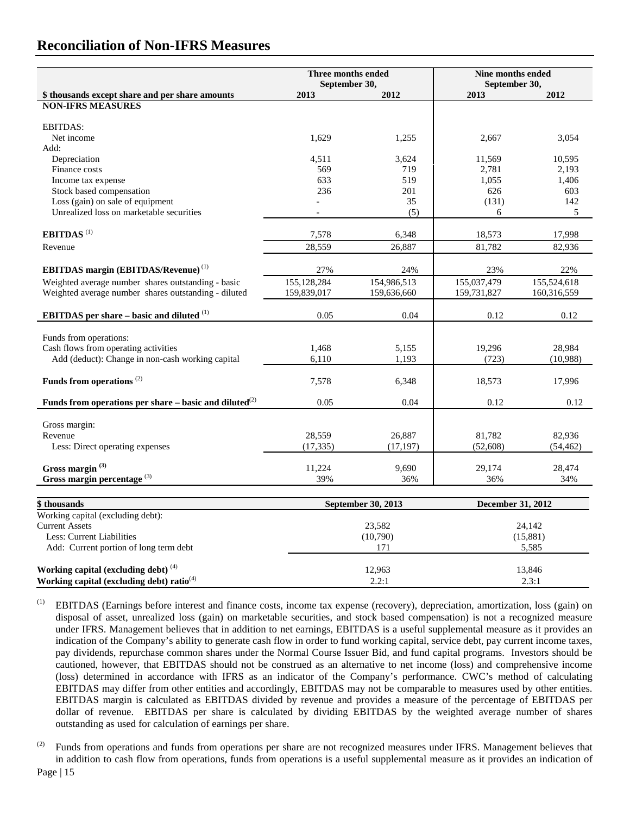|                                                              | Three months ended<br>September 30, |                    | Nine months ended<br>September 30, |             |  |
|--------------------------------------------------------------|-------------------------------------|--------------------|------------------------------------|-------------|--|
| \$ thousands except share and per share amounts              | 2013                                | 2012               | 2013                               | 2012        |  |
| <b>NON-IFRS MEASURES</b>                                     |                                     |                    |                                    |             |  |
|                                                              |                                     |                    |                                    |             |  |
| <b>EBITDAS:</b>                                              |                                     |                    |                                    |             |  |
| Net income                                                   | 1,629                               | 1,255              | 2,667                              | 3,054       |  |
| Add:                                                         |                                     |                    |                                    |             |  |
| Depreciation                                                 | 4,511                               | 3,624              | 11,569                             | 10,595      |  |
| Finance costs                                                | 569                                 | 719                | 2,781                              | 2,193       |  |
| Income tax expense                                           | 633                                 | 519                | 1,055                              | 1,406       |  |
| Stock based compensation                                     | 236                                 | 201                | 626                                | 603         |  |
| Loss (gain) on sale of equipment                             |                                     | 35                 | (131)                              | 142         |  |
| Unrealized loss on marketable securities                     |                                     | (5)                | 6                                  | 5           |  |
| EBITDAS <sup>(1)</sup>                                       | 7,578                               | 6,348              | 18,573                             | 17,998      |  |
| Revenue                                                      | 28,559                              | 26,887             | 81,782                             | 82,936      |  |
|                                                              |                                     |                    |                                    |             |  |
| <b>EBITDAS</b> margin (EBITDAS/Revenue) <sup>(1)</sup>       | 27%                                 | 24%                | 23%                                | 22%         |  |
| Weighted average number shares outstanding - basic           | 155, 128, 284                       | 154,986,513        | 155,037,479                        | 155,524,618 |  |
| Weighted average number shares outstanding - diluted         | 159,839,017                         | 159,636,660        | 159,731,827                        | 160,316,559 |  |
| <b>EBITDAS</b> per share – basic and diluted $(1)$           | 0.05                                | 0.04               | 0.12                               | 0.12        |  |
|                                                              |                                     |                    |                                    |             |  |
| Funds from operations:                                       |                                     |                    |                                    |             |  |
| Cash flows from operating activities                         | 1,468                               | 5,155              | 19,296                             | 28,984      |  |
| Add (deduct): Change in non-cash working capital             | 6,110                               | 1,193              | (723)                              | (10,988)    |  |
| Funds from operations <sup>(2)</sup>                         | 7,578                               | 6,348              | 18,573                             | 17,996      |  |
|                                                              |                                     |                    |                                    |             |  |
| Funds from operations per share – basic and diluted $^{(2)}$ | 0.05                                | 0.04               | 0.12                               | 0.12        |  |
|                                                              |                                     |                    |                                    |             |  |
| Gross margin:                                                |                                     |                    |                                    |             |  |
| Revenue                                                      | 28,559                              | 26,887             | 81,782                             | 82,936      |  |
| Less: Direct operating expenses                              | (17, 335)                           | (17, 197)          | (52, 608)                          | (54, 462)   |  |
| Gross margin <sup>(3)</sup>                                  | 11,224                              | 9,690              | 29,174                             | 28,474      |  |
| Gross margin percentage $(3)$                                | 39%                                 | 36%                | 36%                                | 34%         |  |
|                                                              |                                     |                    |                                    |             |  |
| \$thousands                                                  |                                     | September 30, 2013 | December 31, 2012                  |             |  |
| Working capital (excluding debt):                            |                                     |                    |                                    |             |  |
| <b>Current Assets</b>                                        |                                     | 23,582             |                                    | 24,142      |  |
| Less: Current Liabilities                                    |                                     | (10,790)           | (15,881)                           |             |  |

Add: Current portion of long term debt 171 5,585 **Working capital (excluding debt)** <sup>(4)</sup> 12,963 13,846 **Working capital (excluding debt) ratio**<sup>(4)</sup> 2.2:1 2.3:1 2.3:1 2.3:1

- (1) EBITDAS (Earnings before interest and finance costs, income tax expense (recovery), depreciation, amortization, loss (gain) on disposal of asset, unrealized loss (gain) on marketable securities, and stock based compensation) is not a recognized measure under IFRS. Management believes that in addition to net earnings, EBITDAS is a useful supplemental measure as it provides an indication of the Company's ability to generate cash flow in order to fund working capital, service debt, pay current income taxes, pay dividends, repurchase common shares under the Normal Course Issuer Bid, and fund capital programs. Investors should be cautioned, however, that EBITDAS should not be construed as an alternative to net income (loss) and comprehensive income (loss) determined in accordance with IFRS as an indicator of the Company's performance. CWC's method of calculating EBITDAS may differ from other entities and accordingly, EBITDAS may not be comparable to measures used by other entities. EBITDAS margin is calculated as EBITDAS divided by revenue and provides a measure of the percentage of EBITDAS per dollar of revenue. EBITDAS per share is calculated by dividing EBITDAS by the weighted average number of shares outstanding as used for calculation of earnings per share.
- <sup>(2)</sup> Funds from operations and funds from operations per share are not recognized measures under IFRS. Management believes that in addition to cash flow from operations, funds from operations is a useful supplemental measure as it provides an indication of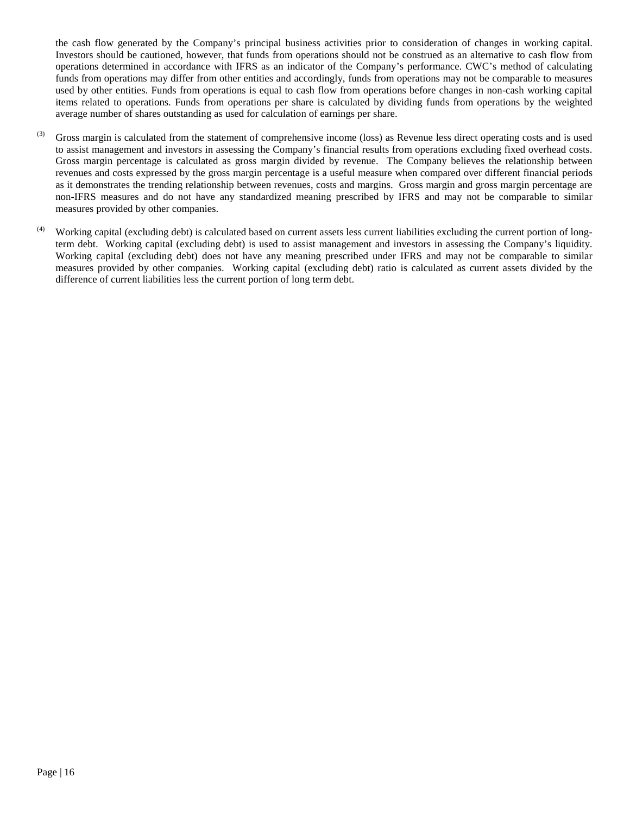the cash flow generated by the Company's principal business activities prior to consideration of changes in working capital. Investors should be cautioned, however, that funds from operations should not be construed as an alternative to cash flow from operations determined in accordance with IFRS as an indicator of the Company's performance. CWC's method of calculating funds from operations may differ from other entities and accordingly, funds from operations may not be comparable to measures used by other entities. Funds from operations is equal to cash flow from operations before changes in non-cash working capital items related to operations. Funds from operations per share is calculated by dividing funds from operations by the weighted average number of shares outstanding as used for calculation of earnings per share.

- $^{(3)}$  Gross margin is calculated from the statement of comprehensive income (loss) as Revenue less direct operating costs and is used to assist management and investors in assessing the Company's financial results from operations excluding fixed overhead costs. Gross margin percentage is calculated as gross margin divided by revenue. The Company believes the relationship between revenues and costs expressed by the gross margin percentage is a useful measure when compared over different financial periods as it demonstrates the trending relationship between revenues, costs and margins. Gross margin and gross margin percentage are non-IFRS measures and do not have any standardized meaning prescribed by IFRS and may not be comparable to similar measures provided by other companies.
- $(4)$  Working capital (excluding debt) is calculated based on current assets less current liabilities excluding the current portion of longterm debt. Working capital (excluding debt) is used to assist management and investors in assessing the Company's liquidity. Working capital (excluding debt) does not have any meaning prescribed under IFRS and may not be comparable to similar measures provided by other companies. Working capital (excluding debt) ratio is calculated as current assets divided by the difference of current liabilities less the current portion of long term debt.